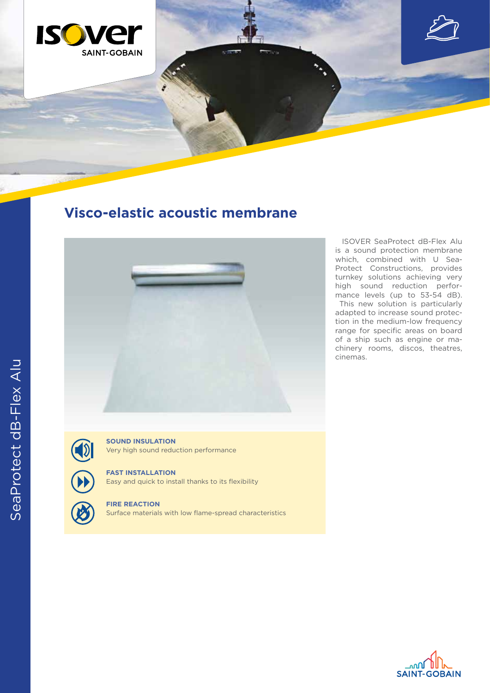

## **Visco-elastic acoustic membrane**



 ISOVER SeaProtect dB-Flex Alu is a sound protection membrane which, combined with U Sea-Protect Constructions, provides turnkey solutions achieving very high sound reduction performance levels (up to 53-54 dB). This new solution is particularly adapted to increase sound protection in the medium-low frequency range for specific areas on board of a ship such as engine or machinery rooms, discos, theatres, cinemas.



SeaProtect dB-Flex Alu

SeaProtect dB-Flex Alu

**SOUND INSULATION** Very high sound reduction performance

## **FAST INSTALLATION**

Easy and quick to install thanks to its flexibility



**FIRE REACTION**

Surface materials with low flame-spread characteristics